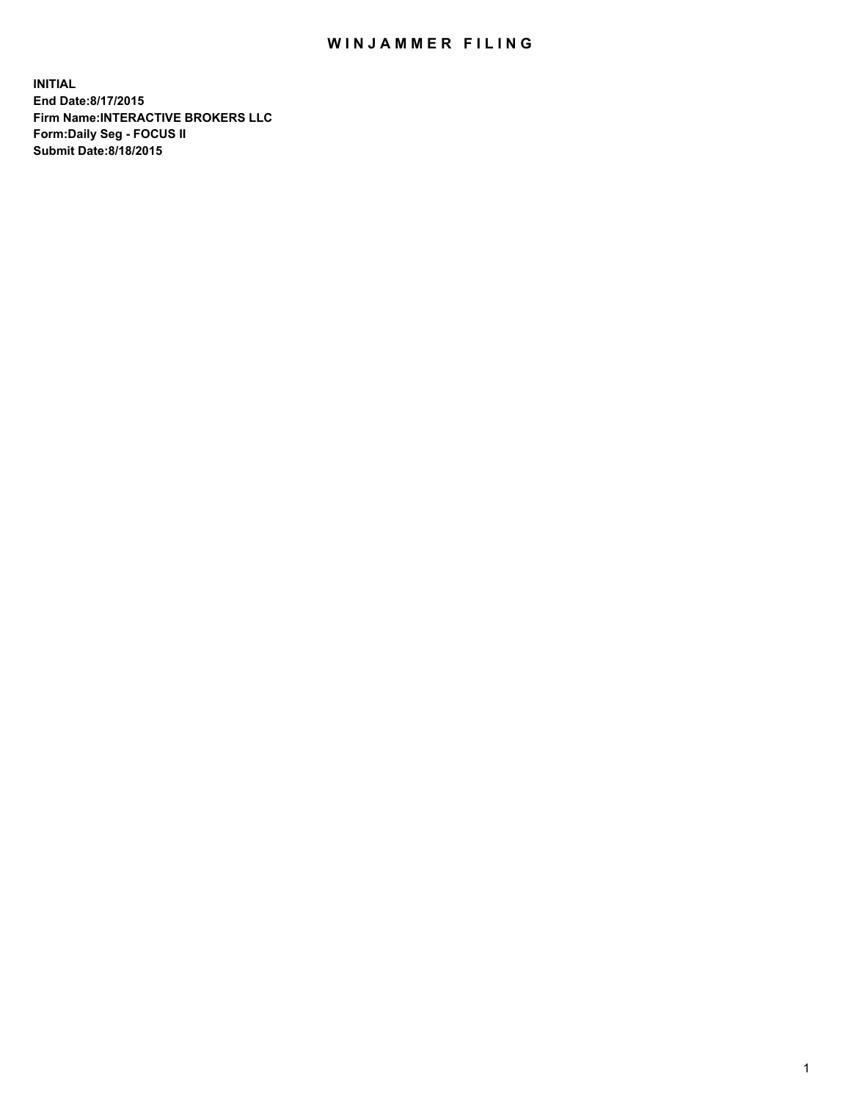## WIN JAMMER FILING

**INITIAL End Date:8/17/2015 Firm Name:INTERACTIVE BROKERS LLC Form:Daily Seg - FOCUS II Submit Date:8/18/2015**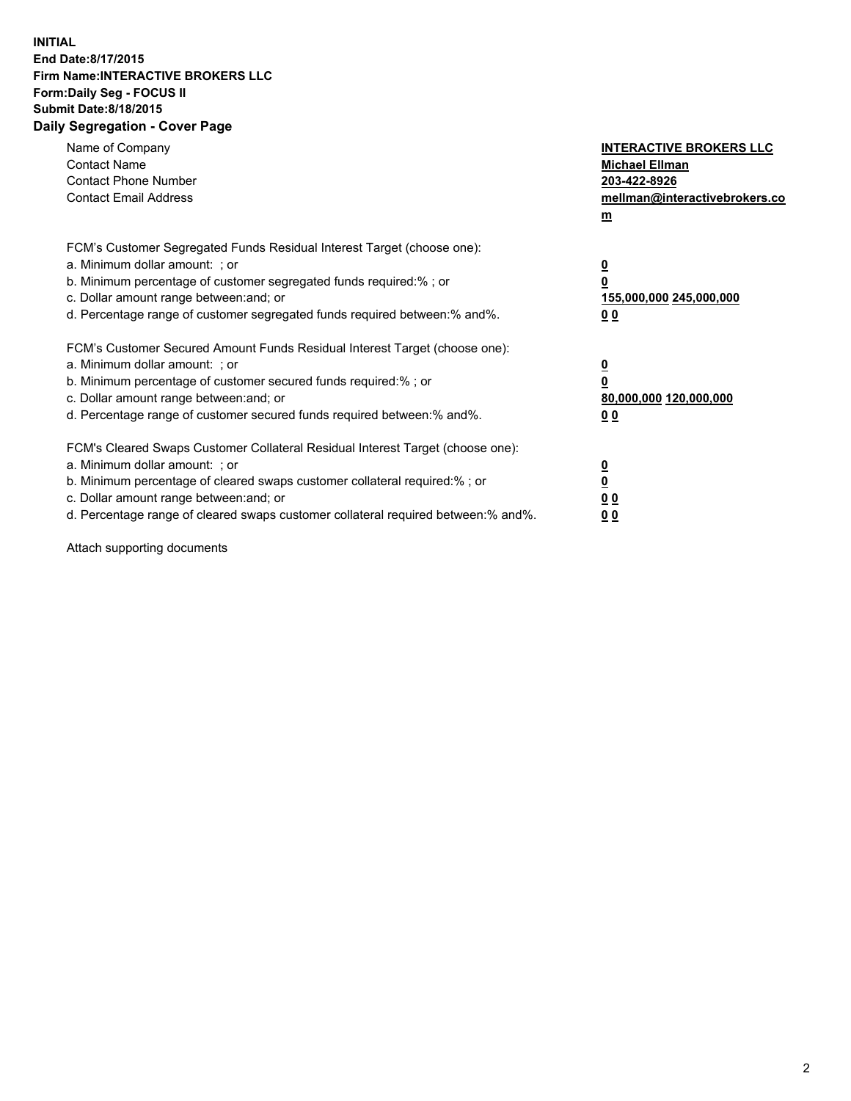## **INITIAL End Date:8/17/2015 Firm Name:INTERACTIVE BROKERS LLC Form:Daily Seg - FOCUS II Submit Date:8/18/2015 Daily Segregation - Cover Page**

| Name of Company<br><b>Contact Name</b><br><b>Contact Phone Number</b><br><b>Contact Email Address</b>                                                                                                                                                                                                                          | <b>INTERACTIVE BROKERS LLC</b><br><b>Michael Ellman</b><br>203-422-8926<br>mellman@interactivebrokers.co<br>$m$ |
|--------------------------------------------------------------------------------------------------------------------------------------------------------------------------------------------------------------------------------------------------------------------------------------------------------------------------------|-----------------------------------------------------------------------------------------------------------------|
| FCM's Customer Segregated Funds Residual Interest Target (choose one):<br>a. Minimum dollar amount: ; or<br>b. Minimum percentage of customer segregated funds required:% ; or<br>c. Dollar amount range between: and; or<br>d. Percentage range of customer segregated funds required between:% and%.                         | $\overline{\mathbf{0}}$<br>0<br>155,000,000 245,000,000<br>0 <sub>0</sub>                                       |
| FCM's Customer Secured Amount Funds Residual Interest Target (choose one):<br>a. Minimum dollar amount: ; or<br>b. Minimum percentage of customer secured funds required:%; or<br>c. Dollar amount range between: and; or<br>d. Percentage range of customer secured funds required between: % and %.                          | $\underline{\mathbf{0}}$<br>0<br>80,000,000 120,000,000<br>0 <sub>0</sub>                                       |
| FCM's Cleared Swaps Customer Collateral Residual Interest Target (choose one):<br>a. Minimum dollar amount: ; or<br>b. Minimum percentage of cleared swaps customer collateral required:% ; or<br>c. Dollar amount range between: and; or<br>d. Percentage range of cleared swaps customer collateral required between:% and%. | $\overline{\mathbf{0}}$<br>$\overline{\mathbf{0}}$<br>0 <sub>0</sub><br>0 <sup>0</sup>                          |

Attach supporting documents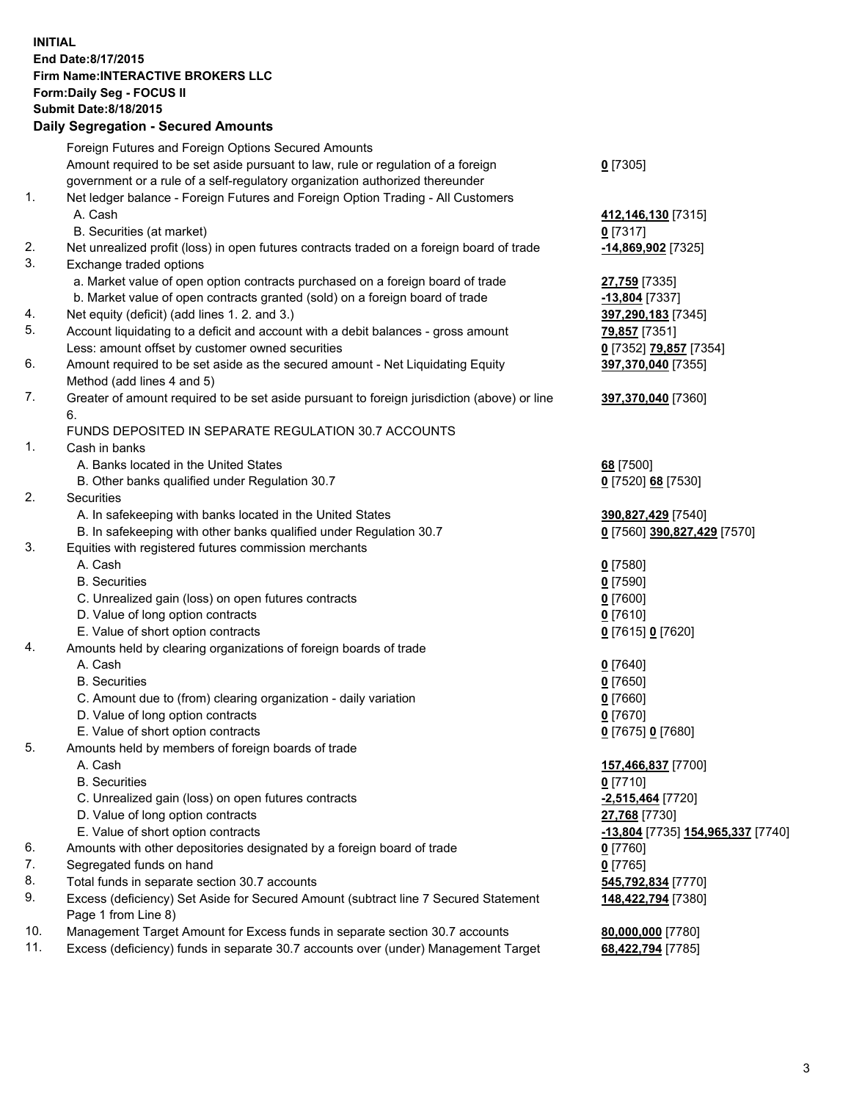## **INITIAL End Date:8/17/2015 Firm Name:INTERACTIVE BROKERS LLC Form:Daily Seg - FOCUS II Submit Date:8/18/2015 Daily Segregation - Secured Amounts**

|                | Daily Jegregation - Jeculed Aniounts                                                                       |                                   |
|----------------|------------------------------------------------------------------------------------------------------------|-----------------------------------|
|                | Foreign Futures and Foreign Options Secured Amounts                                                        |                                   |
|                | Amount required to be set aside pursuant to law, rule or regulation of a foreign                           | $0$ [7305]                        |
|                | government or a rule of a self-regulatory organization authorized thereunder                               |                                   |
| 1.             | Net ledger balance - Foreign Futures and Foreign Option Trading - All Customers                            |                                   |
|                | A. Cash                                                                                                    | 412,146,130 [7315]                |
|                | B. Securities (at market)                                                                                  | $0$ [7317]                        |
| 2.             | Net unrealized profit (loss) in open futures contracts traded on a foreign board of trade                  | -14,869,902 [7325]                |
| 3.             | Exchange traded options                                                                                    |                                   |
|                | a. Market value of open option contracts purchased on a foreign board of trade                             | 27,759 [7335]                     |
|                | b. Market value of open contracts granted (sold) on a foreign board of trade                               | -13,804 [7337]                    |
| 4.             | Net equity (deficit) (add lines 1.2. and 3.)                                                               | 397,290,183 [7345]                |
| 5.             | Account liquidating to a deficit and account with a debit balances - gross amount                          | 79,857 [7351]                     |
|                | Less: amount offset by customer owned securities                                                           | 0 [7352] 79,857 [7354]            |
| 6.             | Amount required to be set aside as the secured amount - Net Liquidating Equity                             | 397,370,040 [7355]                |
|                | Method (add lines 4 and 5)                                                                                 |                                   |
| 7.             | Greater of amount required to be set aside pursuant to foreign jurisdiction (above) or line                | 397,370,040 [7360]                |
|                | 6.                                                                                                         |                                   |
|                | FUNDS DEPOSITED IN SEPARATE REGULATION 30.7 ACCOUNTS                                                       |                                   |
| $\mathbf{1}$ . | Cash in banks                                                                                              |                                   |
|                | A. Banks located in the United States                                                                      | 68 [7500]                         |
|                | B. Other banks qualified under Regulation 30.7                                                             | 0 [7520] 68 [7530]                |
| 2.             | Securities                                                                                                 |                                   |
|                | A. In safekeeping with banks located in the United States                                                  | 390,827,429 [7540]                |
|                | B. In safekeeping with other banks qualified under Regulation 30.7                                         | 0 [7560] 390,827,429 [7570]       |
| 3.             | Equities with registered futures commission merchants                                                      |                                   |
|                | A. Cash                                                                                                    | $0$ [7580]                        |
|                | <b>B.</b> Securities                                                                                       | $0$ [7590]                        |
|                | C. Unrealized gain (loss) on open futures contracts                                                        | $0$ [7600]                        |
|                | D. Value of long option contracts                                                                          | $0$ [7610]                        |
|                | E. Value of short option contracts                                                                         | 0 [7615] 0 [7620]                 |
| 4.             | Amounts held by clearing organizations of foreign boards of trade                                          |                                   |
|                | A. Cash                                                                                                    | $0$ [7640]                        |
|                | <b>B.</b> Securities                                                                                       | $0$ [7650]                        |
|                | C. Amount due to (from) clearing organization - daily variation                                            | $0$ [7660]                        |
|                | D. Value of long option contracts                                                                          | $0$ [7670]                        |
|                | E. Value of short option contracts                                                                         | 0 [7675] 0 [7680]                 |
| 5.             | Amounts held by members of foreign boards of trade                                                         |                                   |
|                | A. Cash                                                                                                    | 157,466,837 [7700]                |
|                | <b>B.</b> Securities                                                                                       | $0$ [7710]                        |
|                | C. Unrealized gain (loss) on open futures contracts                                                        | -2,515,464 <sup>[7720]</sup>      |
|                | D. Value of long option contracts                                                                          | 27,768 [7730]                     |
|                | E. Value of short option contracts                                                                         | -13,804 [7735] 154,965,337 [7740] |
| 6.             | Amounts with other depositories designated by a foreign board of trade                                     | 0 [7760]                          |
| 7.             | Segregated funds on hand                                                                                   | $0$ [7765]                        |
| 8.             | Total funds in separate section 30.7 accounts                                                              | 545,792,834 [7770]                |
| 9.             | Excess (deficiency) Set Aside for Secured Amount (subtract line 7 Secured Statement<br>Page 1 from Line 8) | 148,422,794 [7380]                |
| 10.            | Management Target Amount for Excess funds in separate section 30.7 accounts                                | 80,000,000 [7780]                 |
| 11.            | Excess (deficiency) funds in separate 30.7 accounts over (under) Management Target                         | 68,422,794 [7785]                 |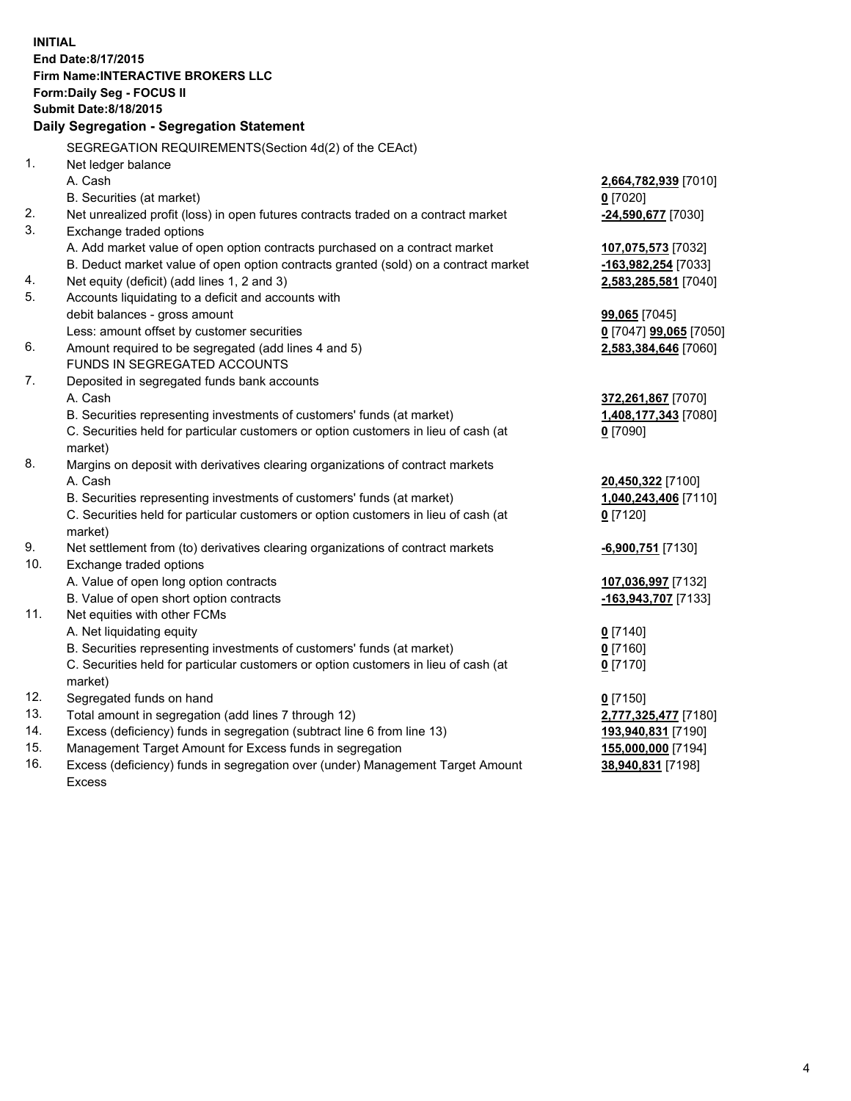**INITIAL End Date:8/17/2015 Firm Name:INTERACTIVE BROKERS LLC Form:Daily Seg - FOCUS II Submit Date:8/18/2015 Daily Segregation - Segregation Statement** SEGREGATION REQUIREMENTS(Section 4d(2) of the CEAct) 1. Net ledger balance A. Cash **2,664,782,939** [7010] B. Securities (at market) **0** [7020] 2. Net unrealized profit (loss) in open futures contracts traded on a contract market **-24,590,677** [7030] 3. Exchange traded options A. Add market value of open option contracts purchased on a contract market **107,075,573** [7032] B. Deduct market value of open option contracts granted (sold) on a contract market **-163,982,254** [7033] 4. Net equity (deficit) (add lines 1, 2 and 3) **2,583,285,581** [7040] 5. Accounts liquidating to a deficit and accounts with debit balances - gross amount **99,065** [7045] Less: amount offset by customer securities **0** [7047] **99,065** [7050] 6. Amount required to be segregated (add lines 4 and 5) **2,583,384,646** [7060] FUNDS IN SEGREGATED ACCOUNTS 7. Deposited in segregated funds bank accounts A. Cash **372,261,867** [7070] B. Securities representing investments of customers' funds (at market) **1,408,177,343** [7080] C. Securities held for particular customers or option customers in lieu of cash (at market) **0** [7090] 8. Margins on deposit with derivatives clearing organizations of contract markets A. Cash **20,450,322** [7100] B. Securities representing investments of customers' funds (at market) **1,040,243,406** [7110] C. Securities held for particular customers or option customers in lieu of cash (at market) **0** [7120] 9. Net settlement from (to) derivatives clearing organizations of contract markets **-6,900,751** [7130] 10. Exchange traded options A. Value of open long option contracts **107,036,997** [7132] B. Value of open short option contracts **-163,943,707** [7133] 11. Net equities with other FCMs A. Net liquidating equity **0** [7140] B. Securities representing investments of customers' funds (at market) **0** [7160] C. Securities held for particular customers or option customers in lieu of cash (at market) **0** [7170] 12. Segregated funds on hand **0** [7150] 13. Total amount in segregation (add lines 7 through 12) **2,777,325,477** [7180] 14. Excess (deficiency) funds in segregation (subtract line 6 from line 13) **193,940,831** [7190] 15. Management Target Amount for Excess funds in segregation **155,000,000** [7194] **38,940,831** [7198]

16. Excess (deficiency) funds in segregation over (under) Management Target Amount Excess